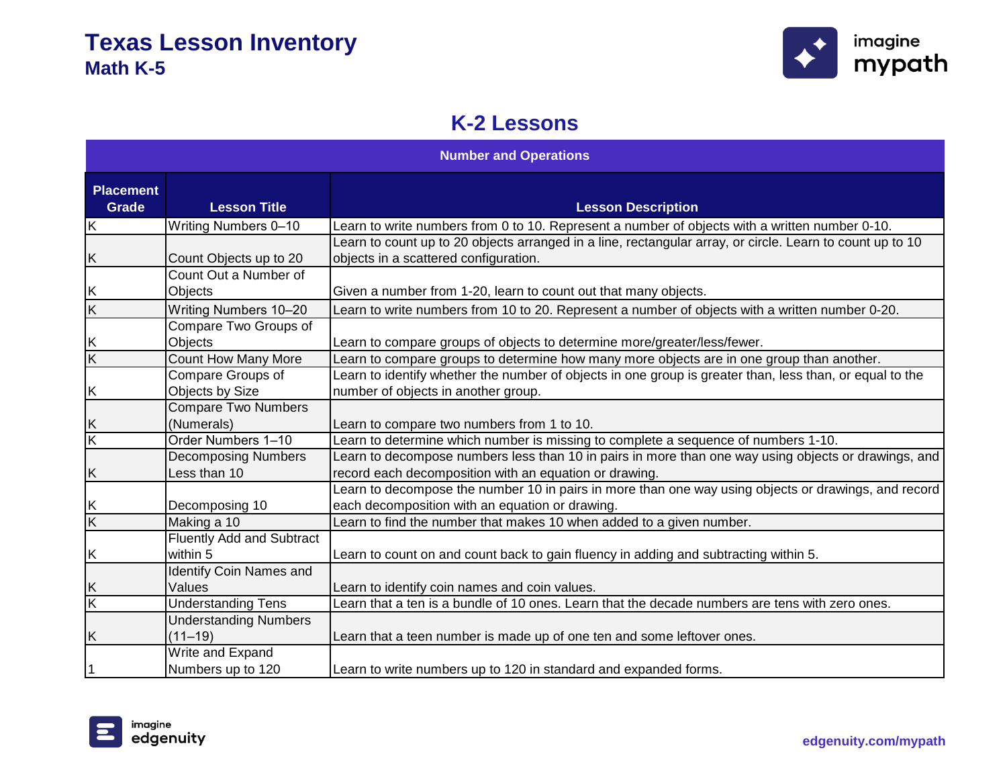

# **K-2 Lessons**

| <b>Number and Operations</b> |                                              |                                                                                                                                                                |
|------------------------------|----------------------------------------------|----------------------------------------------------------------------------------------------------------------------------------------------------------------|
| <b>Placement</b><br>Grade    | <b>Lesson Title</b>                          | <b>Lesson Description</b>                                                                                                                                      |
| $\overline{\mathsf{K}}$      | <b>Writing Numbers 0-10</b>                  | Learn to write numbers from 0 to 10. Represent a number of objects with a written number 0-10.                                                                 |
| Κ                            | Count Objects up to 20                       | Learn to count up to 20 objects arranged in a line, rectangular array, or circle. Learn to count up to 10<br>objects in a scattered configuration.             |
| K                            | Count Out a Number of<br>Objects             | Given a number from 1-20, learn to count out that many objects.                                                                                                |
| $\overline{\mathsf{K}}$      | Writing Numbers 10-20                        | Learn to write numbers from 10 to 20. Represent a number of objects with a written number 0-20.                                                                |
| $\frac{K}{K}$                | Compare Two Groups of<br>Objects             | Learn to compare groups of objects to determine more/greater/less/fewer.                                                                                       |
|                              | Count How Many More                          | Learn to compare groups to determine how many more objects are in one group than another.                                                                      |
| Κ                            | Compare Groups of<br>Objects by Size         | Learn to identify whether the number of objects in one group is greater than, less than, or equal to the<br>number of objects in another group.                |
| Κ                            | <b>Compare Two Numbers</b><br>(Numerals)     | Learn to compare two numbers from 1 to 10.                                                                                                                     |
| $\overline{\mathsf{K}}$      | Order Numbers 1-10                           | Learn to determine which number is missing to complete a sequence of numbers 1-10.                                                                             |
| Κ                            | <b>Decomposing Numbers</b><br>Less than 10   | Learn to decompose numbers less than 10 in pairs in more than one way using objects or drawings, and<br>record each decomposition with an equation or drawing. |
|                              | Decomposing 10                               | Learn to decompose the number 10 in pairs in more than one way using objects or drawings, and record<br>each decomposition with an equation or drawing.        |
| $\frac{1}{x}$                | Making a 10                                  | Learn to find the number that makes 10 when added to a given number.                                                                                           |
| Κ                            | <b>Fluently Add and Subtract</b><br>within 5 | Learn to count on and count back to gain fluency in adding and subtracting within 5.                                                                           |
| Κ                            | <b>Identify Coin Names and</b><br>Values     | Learn to identify coin names and coin values.                                                                                                                  |
| K                            | <b>Understanding Tens</b>                    | Learn that a ten is a bundle of 10 ones. Learn that the decade numbers are tens with zero ones.                                                                |
| Κ                            | <b>Understanding Numbers</b><br>$(11 - 19)$  | Learn that a teen number is made up of one ten and some leftover ones.                                                                                         |
| 1                            | Write and Expand<br>Numbers up to 120        | Learn to write numbers up to 120 in standard and expanded forms.                                                                                               |

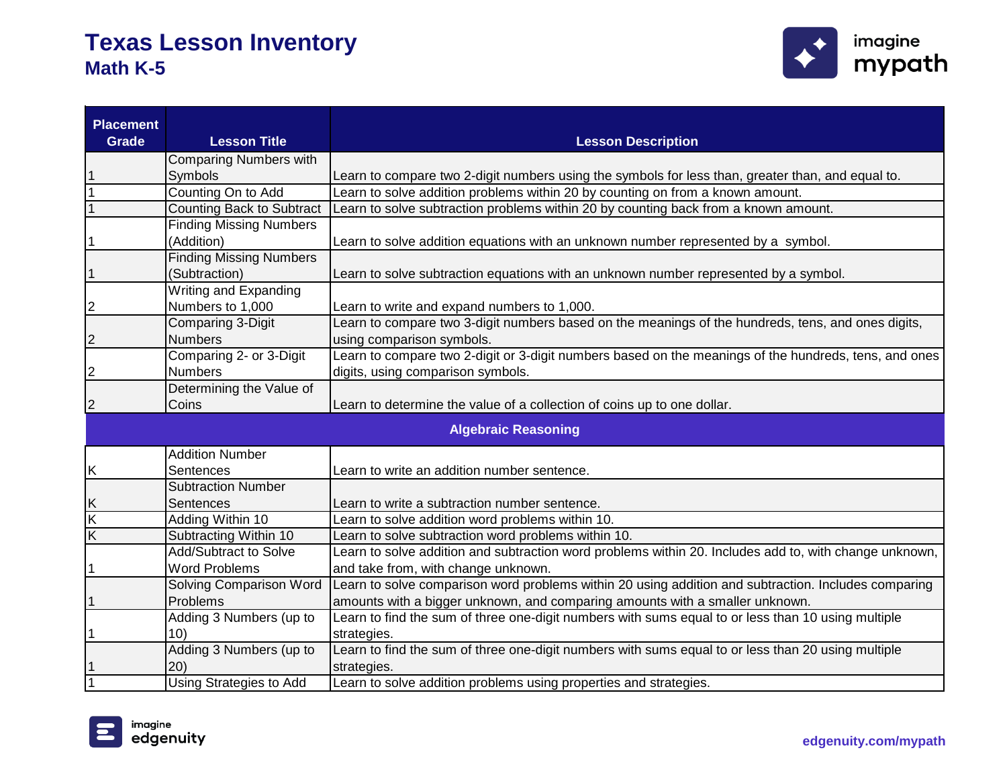

| <b>Placement</b><br><b>Grade</b> | <b>Lesson Title</b>            | <b>Lesson Description</b>                                                                              |
|----------------------------------|--------------------------------|--------------------------------------------------------------------------------------------------------|
|                                  | <b>Comparing Numbers with</b>  |                                                                                                        |
|                                  | Symbols                        | Learn to compare two 2-digit numbers using the symbols for less than, greater than, and equal to.      |
|                                  | Counting On to Add             | Learn to solve addition problems within 20 by counting on from a known amount.                         |
|                                  | Counting Back to Subtract      | Learn to solve subtraction problems within 20 by counting back from a known amount.                    |
|                                  | <b>Finding Missing Numbers</b> |                                                                                                        |
|                                  | (Addition)                     | Learn to solve addition equations with an unknown number represented by a symbol.                      |
|                                  | <b>Finding Missing Numbers</b> |                                                                                                        |
|                                  | (Subtraction)                  | Learn to solve subtraction equations with an unknown number represented by a symbol.                   |
|                                  | Writing and Expanding          |                                                                                                        |
| $\overline{c}$                   | Numbers to 1,000               | Learn to write and expand numbers to 1,000.                                                            |
|                                  | <b>Comparing 3-Digit</b>       | Learn to compare two 3-digit numbers based on the meanings of the hundreds, tens, and ones digits,     |
| $\overline{c}$                   | <b>Numbers</b>                 | using comparison symbols.                                                                              |
|                                  | Comparing 2- or 3-Digit        | Learn to compare two 2-digit or 3-digit numbers based on the meanings of the hundreds, tens, and ones  |
| $\overline{\mathbf{c}}$          | <b>Numbers</b>                 | digits, using comparison symbols.                                                                      |
|                                  | Determining the Value of       |                                                                                                        |
| $\overline{c}$                   | Coins                          | Learn to determine the value of a collection of coins up to one dollar.                                |
|                                  |                                | <b>Algebraic Reasoning</b>                                                                             |
|                                  | <b>Addition Number</b>         |                                                                                                        |
| $\overline{\mathsf{K}}$          | Sentences                      | Learn to write an addition number sentence.                                                            |
|                                  | <b>Subtraction Number</b>      |                                                                                                        |
|                                  | Sentences                      | Learn to write a subtraction number sentence.                                                          |
| $\frac{K}{K}$                    | Adding Within 10               | Learn to solve addition word problems within 10.                                                       |
| $\overline{\mathsf{K}}$          | Subtracting Within 10          | Learn to solve subtraction word problems within 10.                                                    |
|                                  | <b>Add/Subtract to Solve</b>   | Learn to solve addition and subtraction word problems within 20. Includes add to, with change unknown, |
|                                  | <b>Word Problems</b>           | and take from, with change unknown.                                                                    |
|                                  | Solving Comparison Word        | Learn to solve comparison word problems within 20 using addition and subtraction. Includes comparing   |
|                                  | Problems                       | amounts with a bigger unknown, and comparing amounts with a smaller unknown.                           |
|                                  | Adding 3 Numbers (up to        | Learn to find the sum of three one-digit numbers with sums equal to or less than 10 using multiple     |
|                                  | 10)                            | strategies.                                                                                            |
|                                  | Adding 3 Numbers (up to        | Learn to find the sum of three one-digit numbers with sums equal to or less than 20 using multiple     |
|                                  | 20)                            | strategies.                                                                                            |
|                                  | Using Strategies to Add        | Learn to solve addition problems using properties and strategies.                                      |

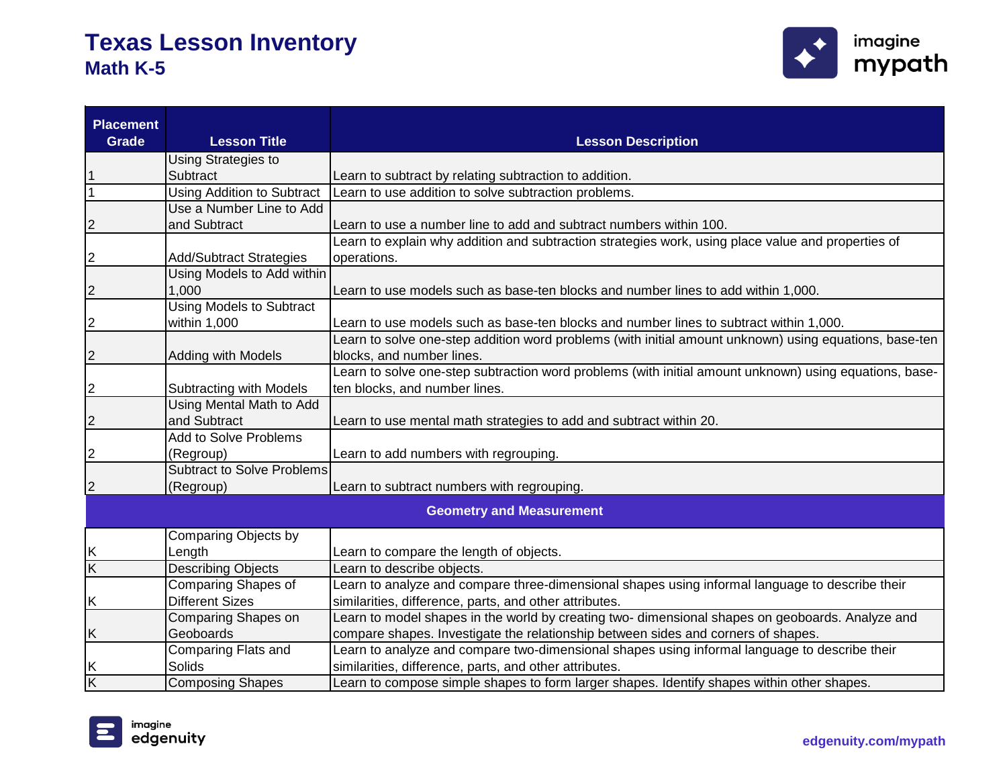

| <b>Placement</b><br><b>Grade</b> | <b>Lesson Title</b>               | <b>Lesson Description</b>                                                                              |
|----------------------------------|-----------------------------------|--------------------------------------------------------------------------------------------------------|
|                                  | Using Strategies to               |                                                                                                        |
|                                  | Subtract                          | Learn to subtract by relating subtraction to addition.                                                 |
|                                  | <b>Using Addition to Subtract</b> | Learn to use addition to solve subtraction problems.                                                   |
|                                  | Use a Number Line to Add          |                                                                                                        |
| $\overline{2}$                   | and Subtract                      | Learn to use a number line to add and subtract numbers within 100.                                     |
|                                  |                                   | Learn to explain why addition and subtraction strategies work, using place value and properties of     |
| $\overline{c}$                   | <b>Add/Subtract Strategies</b>    | operations.                                                                                            |
|                                  | Using Models to Add within        |                                                                                                        |
| $\overline{c}$                   | 1,000                             | Learn to use models such as base-ten blocks and number lines to add within 1,000.                      |
|                                  | <b>Using Models to Subtract</b>   |                                                                                                        |
| $\overline{c}$                   | within 1,000                      | Learn to use models such as base-ten blocks and number lines to subtract within 1,000.                 |
|                                  |                                   | Learn to solve one-step addition word problems (with initial amount unknown) using equations, base-ten |
| 2                                | Adding with Models                | blocks, and number lines.                                                                              |
|                                  |                                   | Learn to solve one-step subtraction word problems (with initial amount unknown) using equations, base- |
| $\overline{2}$                   | Subtracting with Models           | ten blocks, and number lines.                                                                          |
|                                  | Using Mental Math to Add          |                                                                                                        |
| $\overline{c}$                   | and Subtract                      | Learn to use mental math strategies to add and subtract within 20.                                     |
|                                  | Add to Solve Problems             |                                                                                                        |
| 2                                | (Regroup)                         | Learn to add numbers with regrouping.                                                                  |
|                                  | <b>Subtract to Solve Problems</b> |                                                                                                        |
| $\overline{2}$                   | (Regroup)                         | Learn to subtract numbers with regrouping.                                                             |
|                                  |                                   | <b>Geometry and Measurement</b>                                                                        |
|                                  | Comparing Objects by              |                                                                                                        |
| Κ                                | Length                            | Learn to compare the length of objects.                                                                |
| $\overline{\mathsf{K}}$          | <b>Describing Objects</b>         | Learn to describe objects.                                                                             |
|                                  | Comparing Shapes of               | Learn to analyze and compare three-dimensional shapes using informal language to describe their        |
| Κ                                | <b>Different Sizes</b>            | similarities, difference, parts, and other attributes.                                                 |
|                                  | Comparing Shapes on               | Learn to model shapes in the world by creating two- dimensional shapes on geoboards. Analyze and       |
| Κ                                | Geoboards                         | compare shapes. Investigate the relationship between sides and corners of shapes.                      |
|                                  | <b>Comparing Flats and</b>        | Learn to analyze and compare two-dimensional shapes using informal language to describe their          |
| Κ                                | Solids                            | similarities, difference, parts, and other attributes.                                                 |
| Κ                                | <b>Composing Shapes</b>           | Learn to compose simple shapes to form larger shapes. Identify shapes within other shapes.             |

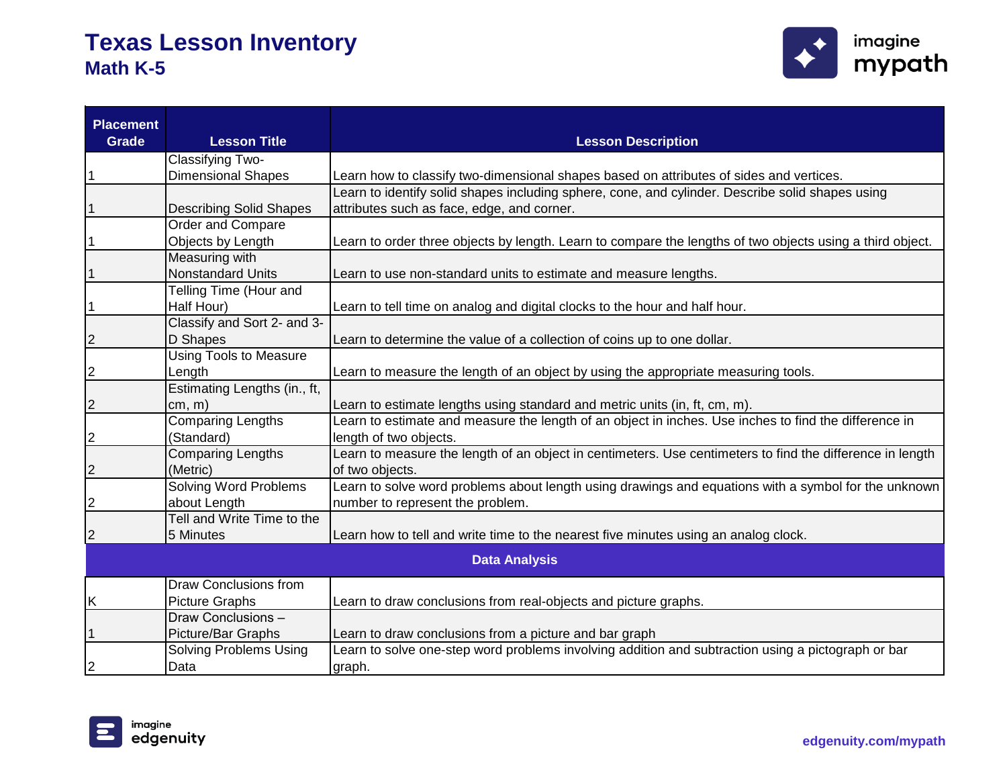

| <b>Placement</b><br><b>Grade</b> | <b>Lesson Title</b>            | <b>Lesson Description</b>                                                                                 |
|----------------------------------|--------------------------------|-----------------------------------------------------------------------------------------------------------|
|                                  | Classifying Two-               |                                                                                                           |
| 1                                | <b>Dimensional Shapes</b>      | Learn how to classify two-dimensional shapes based on attributes of sides and vertices.                   |
|                                  |                                | Learn to identify solid shapes including sphere, cone, and cylinder. Describe solid shapes using          |
| 1                                | <b>Describing Solid Shapes</b> | attributes such as face, edge, and corner.                                                                |
|                                  | Order and Compare              |                                                                                                           |
| 1                                | Objects by Length              | Learn to order three objects by length. Learn to compare the lengths of two objects using a third object. |
|                                  | Measuring with                 |                                                                                                           |
| $\mathbf{1}$                     | <b>Nonstandard Units</b>       | Learn to use non-standard units to estimate and measure lengths.                                          |
|                                  | Telling Time (Hour and         |                                                                                                           |
| $\mathbf{1}$                     | Half Hour)                     | Learn to tell time on analog and digital clocks to the hour and half hour.                                |
|                                  | Classify and Sort 2- and 3-    |                                                                                                           |
| $\overline{c}$                   | D Shapes                       | Learn to determine the value of a collection of coins up to one dollar.                                   |
|                                  | <b>Using Tools to Measure</b>  |                                                                                                           |
| $\overline{2}$                   | Length                         | Learn to measure the length of an object by using the appropriate measuring tools.                        |
|                                  | Estimating Lengths (in., ft,   |                                                                                                           |
| $\overline{2}$                   | cm, m)                         | Learn to estimate lengths using standard and metric units (in, ft, cm, m).                                |
|                                  | <b>Comparing Lengths</b>       | Learn to estimate and measure the length of an object in inches. Use inches to find the difference in     |
| $\overline{2}$                   | (Standard)                     | length of two objects.                                                                                    |
|                                  | <b>Comparing Lengths</b>       | Learn to measure the length of an object in centimeters. Use centimeters to find the difference in length |
| $\overline{c}$                   | (Metric)                       | of two objects.                                                                                           |
|                                  | <b>Solving Word Problems</b>   | Learn to solve word problems about length using drawings and equations with a symbol for the unknown      |
| 2                                | about Length                   | number to represent the problem.                                                                          |
|                                  | Tell and Write Time to the     |                                                                                                           |
| $\overline{c}$                   | 5 Minutes                      | Learn how to tell and write time to the nearest five minutes using an analog clock.                       |
|                                  |                                | <b>Data Analysis</b>                                                                                      |
|                                  | <b>Draw Conclusions from</b>   |                                                                                                           |
| Κ                                | <b>Picture Graphs</b>          | Learn to draw conclusions from real-objects and picture graphs.                                           |
|                                  | Draw Conclusions -             |                                                                                                           |
|                                  | Picture/Bar Graphs             | Learn to draw conclusions from a picture and bar graph                                                    |
|                                  | <b>Solving Problems Using</b>  | Learn to solve one-step word problems involving addition and subtraction using a pictograph or bar        |
| 2                                | Data                           | graph.                                                                                                    |

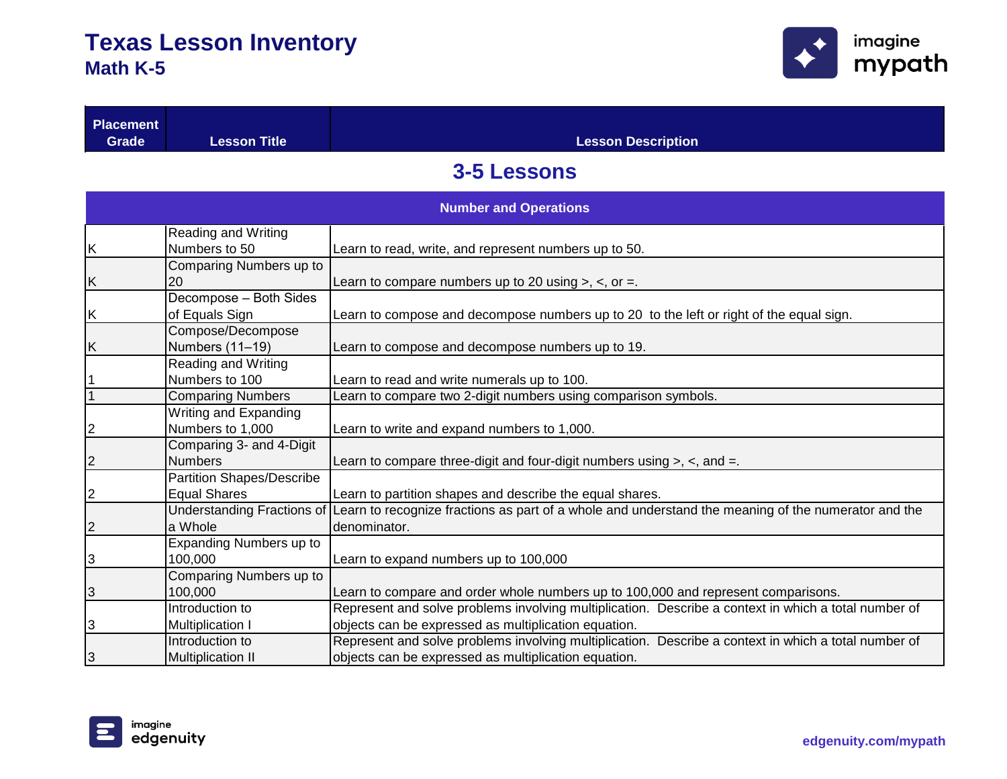

| <b>Placement</b><br><b>Grade</b> | <b>Lesson Title</b>              | <b>Lesson Description</b>                                                                            |
|----------------------------------|----------------------------------|------------------------------------------------------------------------------------------------------|
|                                  |                                  |                                                                                                      |
|                                  |                                  | <b>3-5 Lessons</b>                                                                                   |
|                                  |                                  | <b>Number and Operations</b>                                                                         |
|                                  | <b>Reading and Writing</b>       |                                                                                                      |
| <u>K</u>                         | Numbers to 50                    | Learn to read, write, and represent numbers up to 50.                                                |
|                                  | Comparing Numbers up to          |                                                                                                      |
| $\frac{K}{2}$                    | 20                               | Learn to compare numbers up to 20 using $>$ , $<$ , or =.                                            |
|                                  | Decompose - Both Sides           |                                                                                                      |
| $\frac{K}{\sqrt{2}}$             | of Equals Sign                   | Learn to compose and decompose numbers up to 20 to the left or right of the equal sign.              |
|                                  | Compose/Decompose                |                                                                                                      |
| <u>K</u>                         | Numbers (11-19)                  | Learn to compose and decompose numbers up to 19.                                                     |
|                                  | Reading and Writing              |                                                                                                      |
| $\frac{1}{1}$                    | Numbers to 100                   | Learn to read and write numerals up to 100.                                                          |
|                                  | <b>Comparing Numbers</b>         | Learn to compare two 2-digit numbers using comparison symbols.                                       |
|                                  | Writing and Expanding            |                                                                                                      |
| $\frac{2}{ }$                    | Numbers to 1,000                 | Learn to write and expand numbers to 1,000.                                                          |
|                                  | Comparing 3- and 4-Digit         |                                                                                                      |
| $\overline{2}$                   | <b>Numbers</b>                   | Learn to compare three-digit and four-digit numbers using $>$ , $\lt$ , and $=$ .                    |
|                                  | <b>Partition Shapes/Describe</b> |                                                                                                      |
| $\overline{2}$                   | <b>Equal Shares</b>              | Learn to partition shapes and describe the equal shares.                                             |
|                                  | Understanding Fractions of       | Learn to recognize fractions as part of a whole and understand the meaning of the numerator and the  |
| $\overline{2}$                   | a Whole                          | denominator.                                                                                         |
|                                  | Expanding Numbers up to          |                                                                                                      |
| $\frac{3}{ }$                    | 100,000                          | Learn to expand numbers up to 100,000                                                                |
|                                  | Comparing Numbers up to          |                                                                                                      |
| $\frac{3}{2}$                    | 100,000                          | Learn to compare and order whole numbers up to 100,000 and represent comparisons.                    |
|                                  | Introduction to                  | Represent and solve problems involving multiplication. Describe a context in which a total number of |
| $\overline{3}$                   | <b>Multiplication I</b>          | objects can be expressed as multiplication equation.                                                 |
|                                  | Introduction to                  | Represent and solve problems involving multiplication. Describe a context in which a total number of |
| 3                                | <b>Multiplication II</b>         | objects can be expressed as multiplication equation.                                                 |

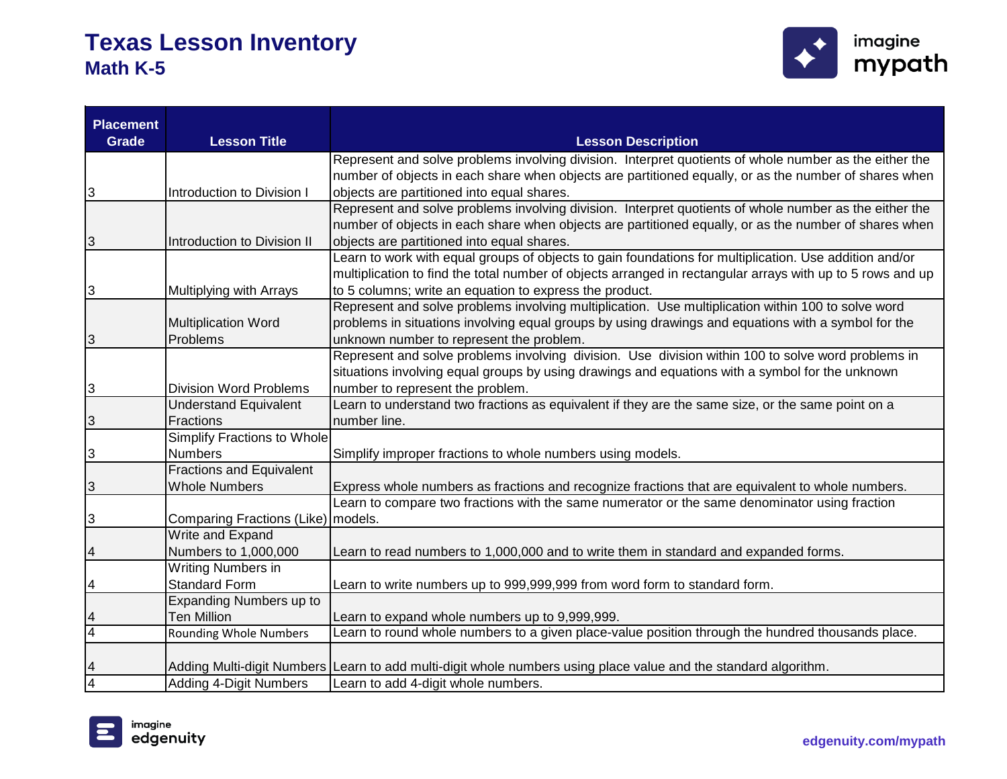

| <b>Placement</b> |                                      |                                                                                                                 |
|------------------|--------------------------------------|-----------------------------------------------------------------------------------------------------------------|
| <b>Grade</b>     | <b>Lesson Title</b>                  | <b>Lesson Description</b>                                                                                       |
|                  |                                      | Represent and solve problems involving division. Interpret quotients of whole number as the either the          |
|                  |                                      | number of objects in each share when objects are partitioned equally, or as the number of shares when           |
| 3                | Introduction to Division I           | objects are partitioned into equal shares.                                                                      |
|                  |                                      | Represent and solve problems involving division. Interpret quotients of whole number as the either the          |
|                  |                                      | number of objects in each share when objects are partitioned equally, or as the number of shares when           |
| S                | Introduction to Division II          | objects are partitioned into equal shares.                                                                      |
|                  |                                      | Learn to work with equal groups of objects to gain foundations for multiplication. Use addition and/or          |
|                  |                                      | multiplication to find the total number of objects arranged in rectangular arrays with up to 5 rows and up      |
| 3                | Multiplying with Arrays              | to 5 columns; write an equation to express the product.                                                         |
|                  |                                      | Represent and solve problems involving multiplication. Use multiplication within 100 to solve word              |
|                  | <b>Multiplication Word</b>           | problems in situations involving equal groups by using drawings and equations with a symbol for the             |
| $\mathbf{3}$     | Problems                             | unknown number to represent the problem.                                                                        |
|                  |                                      | Represent and solve problems involving division. Use division within 100 to solve word problems in              |
|                  |                                      | situations involving equal groups by using drawings and equations with a symbol for the unknown                 |
| $\vert 3 \vert$  | <b>Division Word Problems</b>        | number to represent the problem.                                                                                |
|                  | <b>Understand Equivalent</b>         | Learn to understand two fractions as equivalent if they are the same size, or the same point on a               |
| $\mathbf{3}$     | <b>Fractions</b>                     | number line.                                                                                                    |
|                  | Simplify Fractions to Whole          |                                                                                                                 |
| $\mathbf{3}$     | <b>Numbers</b>                       | Simplify improper fractions to whole numbers using models.                                                      |
|                  | <b>Fractions and Equivalent</b>      |                                                                                                                 |
| $\mathbf{3}$     | <b>Whole Numbers</b>                 | Express whole numbers as fractions and recognize fractions that are equivalent to whole numbers.                |
|                  |                                      | Learn to compare two fractions with the same numerator or the same denominator using fraction                   |
| $\overline{3}$   | Comparing Fractions (Like)   models. |                                                                                                                 |
|                  | Write and Expand                     |                                                                                                                 |
| $\overline{a}$   | Numbers to 1,000,000                 | Learn to read numbers to 1,000,000 and to write them in standard and expanded forms.                            |
|                  | Writing Numbers in                   |                                                                                                                 |
| $\overline{a}$   | <b>Standard Form</b>                 | Learn to write numbers up to 999,999,999 from word form to standard form.                                       |
|                  | Expanding Numbers up to              |                                                                                                                 |
| $\frac{4}{4}$    | <b>Ten Million</b>                   | Learn to expand whole numbers up to 9,999,999.                                                                  |
|                  | <b>Rounding Whole Numbers</b>        | Learn to round whole numbers to a given place-value position through the hundred thousands place.               |
|                  |                                      |                                                                                                                 |
| $\overline{4}$   |                                      | Adding Multi-digit Numbers Learn to add multi-digit whole numbers using place value and the standard algorithm. |
| $\overline{4}$   | <b>Adding 4-Digit Numbers</b>        | Learn to add 4-digit whole numbers.                                                                             |

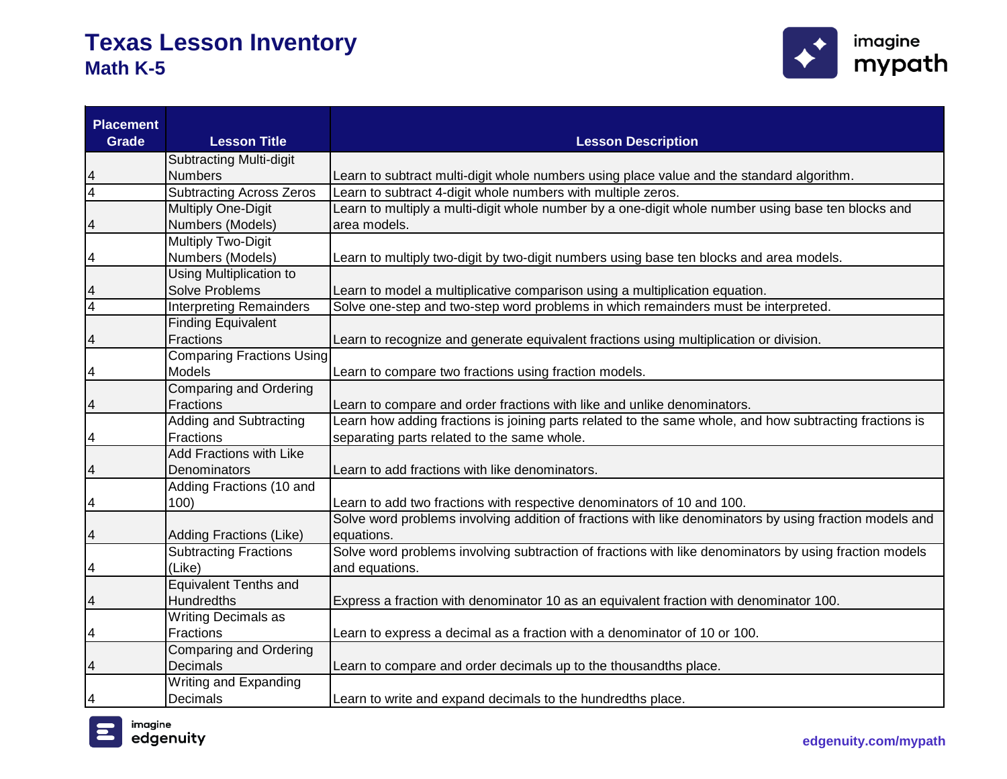

| <b>Placement</b><br><b>Grade</b> | <b>Lesson Title</b>              | <b>Lesson Description</b>                                                                               |
|----------------------------------|----------------------------------|---------------------------------------------------------------------------------------------------------|
|                                  | <b>Subtracting Multi-digit</b>   |                                                                                                         |
| 4                                | <b>Numbers</b>                   | Learn to subtract multi-digit whole numbers using place value and the standard algorithm.               |
| $\overline{4}$                   | <b>Subtracting Across Zeros</b>  | Learn to subtract 4-digit whole numbers with multiple zeros.                                            |
|                                  | Multiply One-Digit               | Learn to multiply a multi-digit whole number by a one-digit whole number using base ten blocks and      |
| 4                                | Numbers (Models)                 | area models.                                                                                            |
|                                  | <b>Multiply Two-Digit</b>        |                                                                                                         |
| 4                                | Numbers (Models)                 | Learn to multiply two-digit by two-digit numbers using base ten blocks and area models.                 |
|                                  | <b>Using Multiplication to</b>   |                                                                                                         |
|                                  | <b>Solve Problems</b>            | Learn to model a multiplicative comparison using a multiplication equation.                             |
| 4                                | <b>Interpreting Remainders</b>   | Solve one-step and two-step word problems in which remainders must be interpreted.                      |
|                                  | <b>Finding Equivalent</b>        |                                                                                                         |
| 4                                | Fractions                        | Learn to recognize and generate equivalent fractions using multiplication or division.                  |
|                                  | <b>Comparing Fractions Using</b> |                                                                                                         |
| 4                                | Models                           | Learn to compare two fractions using fraction models.                                                   |
|                                  | <b>Comparing and Ordering</b>    |                                                                                                         |
| 4                                | Fractions                        | Learn to compare and order fractions with like and unlike denominators.                                 |
|                                  | <b>Adding and Subtracting</b>    | Learn how adding fractions is joining parts related to the same whole, and how subtracting fractions is |
| 4                                | <b>Fractions</b>                 | separating parts related to the same whole.                                                             |
|                                  | <b>Add Fractions with Like</b>   |                                                                                                         |
| 4                                | Denominators                     | Learn to add fractions with like denominators.                                                          |
|                                  | Adding Fractions (10 and         |                                                                                                         |
| 4                                | 100)                             | Learn to add two fractions with respective denominators of 10 and 100.                                  |
|                                  |                                  | Solve word problems involving addition of fractions with like denominators by using fraction models and |
| 4                                | Adding Fractions (Like)          | equations.                                                                                              |
|                                  | <b>Subtracting Fractions</b>     | Solve word problems involving subtraction of fractions with like denominators by using fraction models  |
| 4                                | (Like)                           | and equations.                                                                                          |
|                                  | Equivalent Tenths and            |                                                                                                         |
| 4                                | <b>Hundredths</b>                | Express a fraction with denominator 10 as an equivalent fraction with denominator 100.                  |
|                                  | <b>Writing Decimals as</b>       |                                                                                                         |
| 4                                | <b>Fractions</b>                 | Learn to express a decimal as a fraction with a denominator of 10 or 100.                               |
|                                  | <b>Comparing and Ordering</b>    |                                                                                                         |
| 4                                | <b>Decimals</b>                  | Learn to compare and order decimals up to the thousandths place.                                        |
|                                  | Writing and Expanding            |                                                                                                         |
| 4                                | Decimals                         | Learn to write and expand decimals to the hundredths place.                                             |

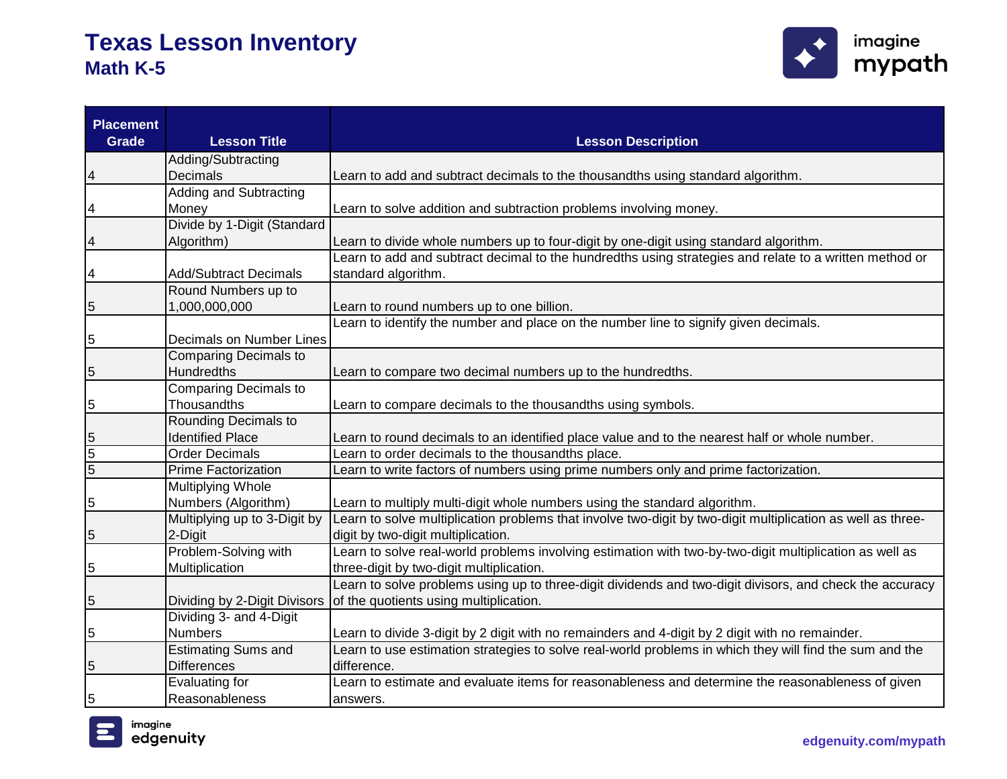

| <b>Placement</b><br><b>Grade</b> | <b>Lesson Title</b>             | <b>Lesson Description</b>                                                                                   |
|----------------------------------|---------------------------------|-------------------------------------------------------------------------------------------------------------|
|                                  | Adding/Subtracting              |                                                                                                             |
| 4                                | <b>Decimals</b>                 | Learn to add and subtract decimals to the thousandths using standard algorithm.                             |
|                                  | Adding and Subtracting          |                                                                                                             |
| 4                                | Money                           | Learn to solve addition and subtraction problems involving money.                                           |
|                                  | Divide by 1-Digit (Standard     |                                                                                                             |
|                                  | Algorithm)                      | Learn to divide whole numbers up to four-digit by one-digit using standard algorithm.                       |
|                                  |                                 | Learn to add and subtract decimal to the hundredths using strategies and relate to a written method or      |
|                                  | <b>Add/Subtract Decimals</b>    | standard algorithm.                                                                                         |
|                                  | Round Numbers up to             |                                                                                                             |
| 5                                | 1,000,000,000                   | Learn to round numbers up to one billion.                                                                   |
|                                  |                                 | Learn to identify the number and place on the number line to signify given decimals.                        |
| 5                                | <b>Decimals on Number Lines</b> |                                                                                                             |
|                                  | <b>Comparing Decimals to</b>    |                                                                                                             |
| 5                                | Hundredths                      | Learn to compare two decimal numbers up to the hundredths.                                                  |
|                                  | <b>Comparing Decimals to</b>    |                                                                                                             |
| 5                                | Thousandths                     | Learn to compare decimals to the thousandths using symbols.                                                 |
|                                  | Rounding Decimals to            |                                                                                                             |
| 5                                | <b>Identified Place</b>         | Learn to round decimals to an identified place value and to the nearest half or whole number.               |
| $\overline{5}$                   | <b>Order Decimals</b>           | Learn to order decimals to the thousandths place.                                                           |
| $\overline{5}$                   | <b>Prime Factorization</b>      | Learn to write factors of numbers using prime numbers only and prime factorization.                         |
|                                  | <b>Multiplying Whole</b>        |                                                                                                             |
| 5                                | Numbers (Algorithm)             | Learn to multiply multi-digit whole numbers using the standard algorithm.                                   |
|                                  | Multiplying up to 3-Digit by    | Learn to solve multiplication problems that involve two-digit by two-digit multiplication as well as three- |
| 5                                | 2-Digit                         | digit by two-digit multiplication.                                                                          |
|                                  | Problem-Solving with            | Learn to solve real-world problems involving estimation with two-by-two-digit multiplication as well as     |
| 5                                | Multiplication                  | three-digit by two-digit multiplication.                                                                    |
|                                  |                                 | Learn to solve problems using up to three-digit dividends and two-digit divisors, and check the accuracy    |
| 5                                | Dividing by 2-Digit Divisors    | of the quotients using multiplication.                                                                      |
|                                  | Dividing 3- and 4-Digit         |                                                                                                             |
| 5                                | <b>Numbers</b>                  | Learn to divide 3-digit by 2 digit with no remainders and 4-digit by 2 digit with no remainder.             |
|                                  | <b>Estimating Sums and</b>      | Learn to use estimation strategies to solve real-world problems in which they will find the sum and the     |
| 5                                | <b>Differences</b>              | difference.                                                                                                 |
|                                  | Evaluating for                  | Learn to estimate and evaluate items for reasonableness and determine the reasonableness of given           |
| 5                                | Reasonableness                  | answers.                                                                                                    |

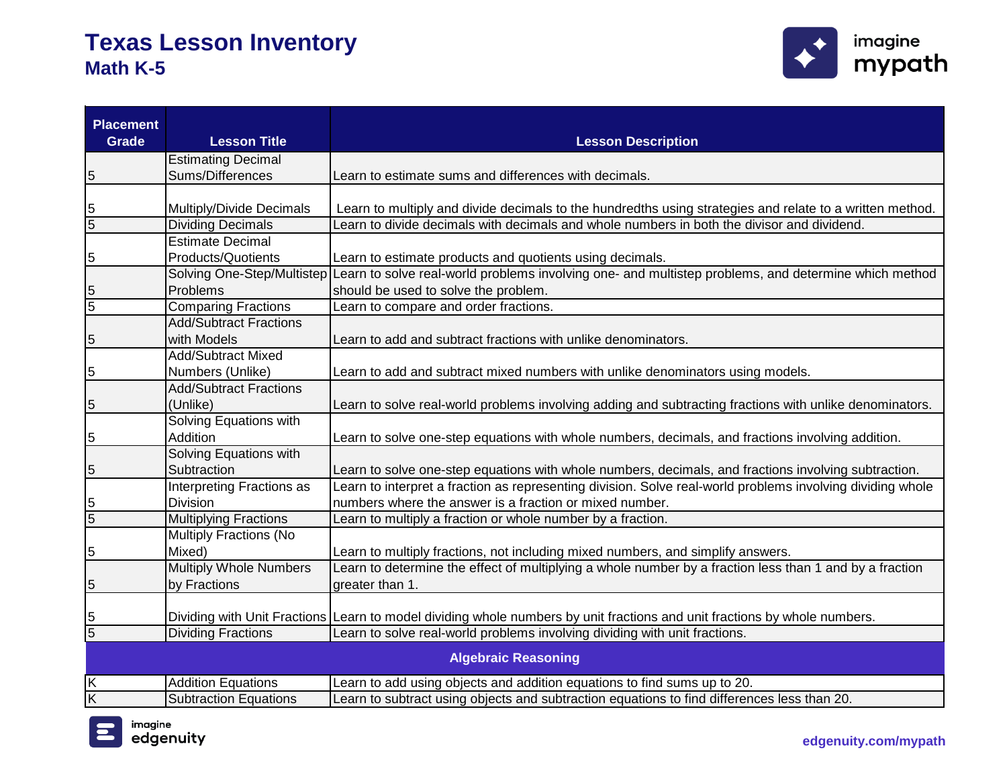

| <b>Placement</b><br><b>Grade</b> | <b>Lesson Title</b>                      | <b>Lesson Description</b>                                                                                                 |
|----------------------------------|------------------------------------------|---------------------------------------------------------------------------------------------------------------------------|
|                                  | <b>Estimating Decimal</b>                |                                                                                                                           |
| 5                                | Sums/Differences                         | Learn to estimate sums and differences with decimals.                                                                     |
|                                  |                                          |                                                                                                                           |
| 5                                | Multiply/Divide Decimals                 | Learn to multiply and divide decimals to the hundredths using strategies and relate to a written method.                  |
| $\overline{5}$                   | <b>Dividing Decimals</b>                 | Learn to divide decimals with decimals and whole numbers in both the divisor and dividend.                                |
|                                  | <b>Estimate Decimal</b>                  |                                                                                                                           |
| 5                                | <b>Products/Quotients</b>                | Learn to estimate products and quotients using decimals.                                                                  |
|                                  | Solving One-Step/Multistep               | Learn to solve real-world problems involving one- and multistep problems, and determine which method                      |
| 5                                | Problems                                 | should be used to solve the problem.                                                                                      |
| 5                                | <b>Comparing Fractions</b>               | Learn to compare and order fractions.                                                                                     |
|                                  | <b>Add/Subtract Fractions</b>            |                                                                                                                           |
| 5                                | with Models<br><b>Add/Subtract Mixed</b> | Learn to add and subtract fractions with unlike denominators.                                                             |
| 5                                | Numbers (Unlike)                         | Learn to add and subtract mixed numbers with unlike denominators using models.                                            |
|                                  | <b>Add/Subtract Fractions</b>            |                                                                                                                           |
| 5                                | (Unlike)                                 | Learn to solve real-world problems involving adding and subtracting fractions with unlike denominators.                   |
|                                  | Solving Equations with                   |                                                                                                                           |
| 5                                | Addition                                 | Learn to solve one-step equations with whole numbers, decimals, and fractions involving addition.                         |
|                                  | Solving Equations with                   |                                                                                                                           |
| 5                                | Subtraction                              | Learn to solve one-step equations with whole numbers, decimals, and fractions involving subtraction.                      |
|                                  | Interpreting Fractions as                | Learn to interpret a fraction as representing division. Solve real-world problems involving dividing whole                |
| 5                                | <b>Division</b>                          | numbers where the answer is a fraction or mixed number.                                                                   |
| $\overline{5}$                   | <b>Multiplying Fractions</b>             | Learn to multiply a fraction or whole number by a fraction.                                                               |
|                                  | <b>Multiply Fractions (No</b>            |                                                                                                                           |
| 5                                | Mixed)                                   | Learn to multiply fractions, not including mixed numbers, and simplify answers.                                           |
|                                  | Multiply Whole Numbers                   | Learn to determine the effect of multiplying a whole number by a fraction less than 1 and by a fraction                   |
| 5                                | by Fractions                             | greater than 1.                                                                                                           |
|                                  |                                          |                                                                                                                           |
| 5                                |                                          | Dividing with Unit Fractions Learn to model dividing whole numbers by unit fractions and unit fractions by whole numbers. |
| $\overline{5}$                   | <b>Dividing Fractions</b>                | Learn to solve real-world problems involving dividing with unit fractions.                                                |
|                                  |                                          | <b>Algebraic Reasoning</b>                                                                                                |
| Κ                                | <b>Addition Equations</b>                | Learn to add using objects and addition equations to find sums up to 20.                                                  |
| Κ                                | <b>Subtraction Equations</b>             | Learn to subtract using objects and subtraction equations to find differences less than 20.                               |

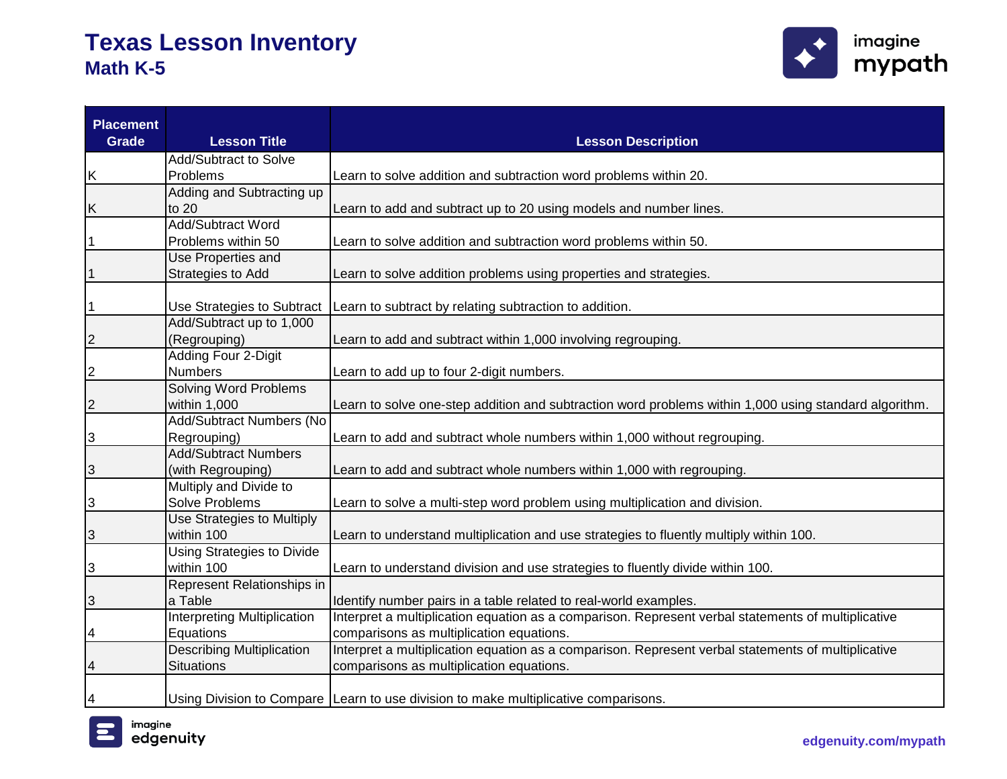

| <b>Placement</b><br><b>Grade</b> | <b>Lesson Title</b>                      | <b>Lesson Description</b>                                                                             |
|----------------------------------|------------------------------------------|-------------------------------------------------------------------------------------------------------|
|                                  | Add/Subtract to Solve                    |                                                                                                       |
| Κ                                | Problems                                 | Learn to solve addition and subtraction word problems within 20.                                      |
|                                  | Adding and Subtracting up                |                                                                                                       |
| Κ                                | to 20                                    | Learn to add and subtract up to 20 using models and number lines.                                     |
|                                  | <b>Add/Subtract Word</b>                 |                                                                                                       |
| $\overline{1}$                   | Problems within 50                       | Learn to solve addition and subtraction word problems within 50.                                      |
|                                  | Use Properties and                       |                                                                                                       |
| $\overline{1}$                   | Strategies to Add                        | Learn to solve addition problems using properties and strategies.                                     |
| $\overline{1}$                   | Use Strategies to Subtract               | Learn to subtract by relating subtraction to addition.                                                |
|                                  | Add/Subtract up to 1,000                 |                                                                                                       |
| $\overline{2}$                   | (Regrouping)                             | Learn to add and subtract within 1,000 involving regrouping.                                          |
|                                  | Adding Four 2-Digit                      |                                                                                                       |
| $\overline{2}$                   | <b>Numbers</b>                           | Learn to add up to four 2-digit numbers.                                                              |
|                                  | <b>Solving Word Problems</b>             |                                                                                                       |
| $\overline{2}$                   | within 1,000                             | Learn to solve one-step addition and subtraction word problems within 1,000 using standard algorithm. |
|                                  | Add/Subtract Numbers (No                 |                                                                                                       |
| 3                                | Regrouping)                              | Learn to add and subtract whole numbers within 1,000 without regrouping.                              |
|                                  | <b>Add/Subtract Numbers</b>              |                                                                                                       |
| 3                                | (with Regrouping)                        | Learn to add and subtract whole numbers within 1,000 with regrouping.                                 |
|                                  | Multiply and Divide to                   |                                                                                                       |
| $\overline{3}$                   | <b>Solve Problems</b>                    | Learn to solve a multi-step word problem using multiplication and division.                           |
|                                  | Use Strategies to Multiply<br>within 100 |                                                                                                       |
| 3                                | <b>Using Strategies to Divide</b>        | Learn to understand multiplication and use strategies to fluently multiply within 100.                |
| 3                                | within 100                               | Learn to understand division and use strategies to fluently divide within 100.                        |
|                                  | Represent Relationships in               |                                                                                                       |
| 3                                | a Table                                  | Identify number pairs in a table related to real-world examples.                                      |
|                                  | <b>Interpreting Multiplication</b>       | Interpret a multiplication equation as a comparison. Represent verbal statements of multiplicative    |
| 4                                | Equations                                | comparisons as multiplication equations.                                                              |
|                                  | <b>Describing Multiplication</b>         | Interpret a multiplication equation as a comparison. Represent verbal statements of multiplicative    |
| 4                                | <b>Situations</b>                        | comparisons as multiplication equations.                                                              |
| 4                                |                                          | Using Division to Compare Learn to use division to make multiplicative comparisons.                   |

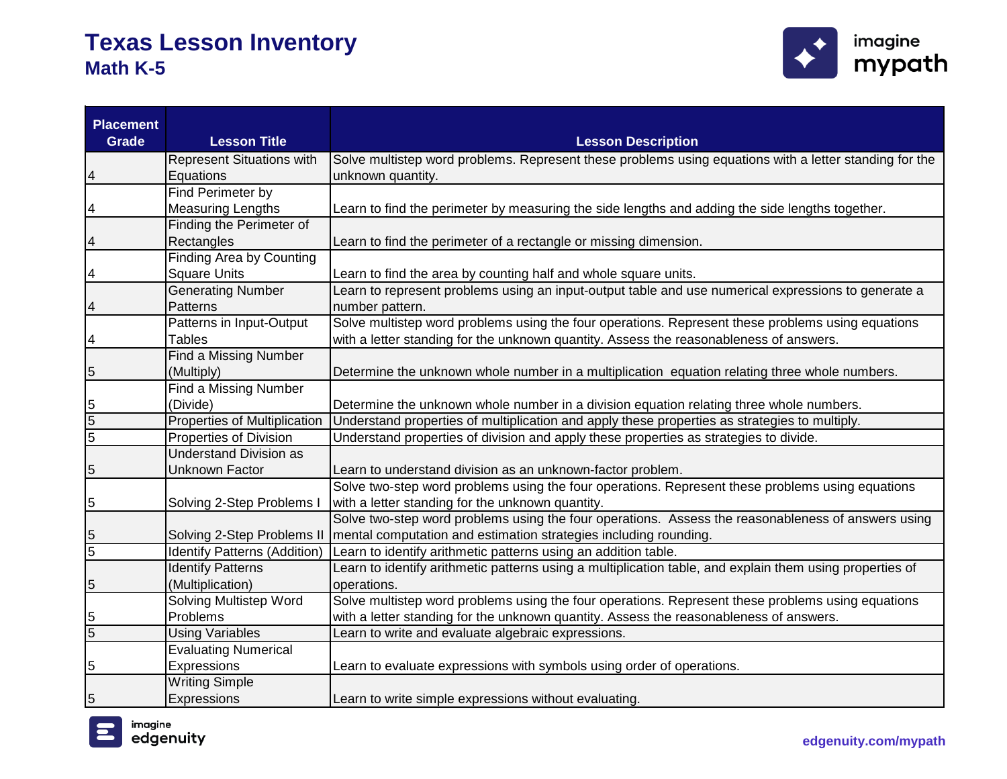

| <b>Placement</b><br><b>Grade</b> | <b>Lesson Title</b>                 | <b>Lesson Description</b>                                                                                |
|----------------------------------|-------------------------------------|----------------------------------------------------------------------------------------------------------|
|                                  | <b>Represent Situations with</b>    | Solve multistep word problems. Represent these problems using equations with a letter standing for the   |
| 4                                | Equations                           | unknown quantity.                                                                                        |
|                                  | Find Perimeter by                   |                                                                                                          |
|                                  | <b>Measuring Lengths</b>            | Learn to find the perimeter by measuring the side lengths and adding the side lengths together.          |
|                                  | Finding the Perimeter of            |                                                                                                          |
|                                  | Rectangles                          | Learn to find the perimeter of a rectangle or missing dimension.                                         |
|                                  | <b>Finding Area by Counting</b>     |                                                                                                          |
| 4                                | <b>Square Units</b>                 | Learn to find the area by counting half and whole square units.                                          |
|                                  | <b>Generating Number</b>            | Learn to represent problems using an input-output table and use numerical expressions to generate a      |
| 4                                | Patterns                            | number pattern.                                                                                          |
|                                  | Patterns in Input-Output            | Solve multistep word problems using the four operations. Represent these problems using equations        |
| 4                                | <b>Tables</b>                       | with a letter standing for the unknown quantity. Assess the reasonableness of answers.                   |
|                                  | Find a Missing Number               |                                                                                                          |
| 5                                | (Multiply)                          | Determine the unknown whole number in a multiplication equation relating three whole numbers.            |
|                                  | Find a Missing Number               |                                                                                                          |
| 5                                | (Divide)                            | Determine the unknown whole number in a division equation relating three whole numbers.                  |
| $\overline{5}$                   | <b>Properties of Multiplication</b> | Understand properties of multiplication and apply these properties as strategies to multiply.            |
| $\overline{5}$                   | <b>Properties of Division</b>       | Understand properties of division and apply these properties as strategies to divide.                    |
|                                  | <b>Understand Division as</b>       |                                                                                                          |
| 5                                | <b>Unknown Factor</b>               | Learn to understand division as an unknown-factor problem.                                               |
|                                  |                                     | Solve two-step word problems using the four operations. Represent these problems using equations         |
| 5                                | Solving 2-Step Problems I           | with a letter standing for the unknown quantity.                                                         |
|                                  |                                     | Solve two-step word problems using the four operations. Assess the reasonableness of answers using       |
| 5                                | Solving 2-Step Problems II          | mental computation and estimation strategies including rounding.                                         |
| $\overline{5}$                   | <b>Identify Patterns (Addition)</b> | Learn to identify arithmetic patterns using an addition table.                                           |
|                                  | <b>Identify Patterns</b>            | Learn to identify arithmetic patterns using a multiplication table, and explain them using properties of |
| 5                                | (Multiplication)                    | operations.                                                                                              |
|                                  | <b>Solving Multistep Word</b>       | Solve multistep word problems using the four operations. Represent these problems using equations        |
| 5                                | Problems                            | with a letter standing for the unknown quantity. Assess the reasonableness of answers.                   |
| 5                                | <b>Using Variables</b>              | Learn to write and evaluate algebraic expressions.                                                       |
|                                  | <b>Evaluating Numerical</b>         |                                                                                                          |
| 5                                | Expressions                         | Learn to evaluate expressions with symbols using order of operations.                                    |
|                                  | <b>Writing Simple</b>               |                                                                                                          |
| 5                                | Expressions                         | Learn to write simple expressions without evaluating.                                                    |

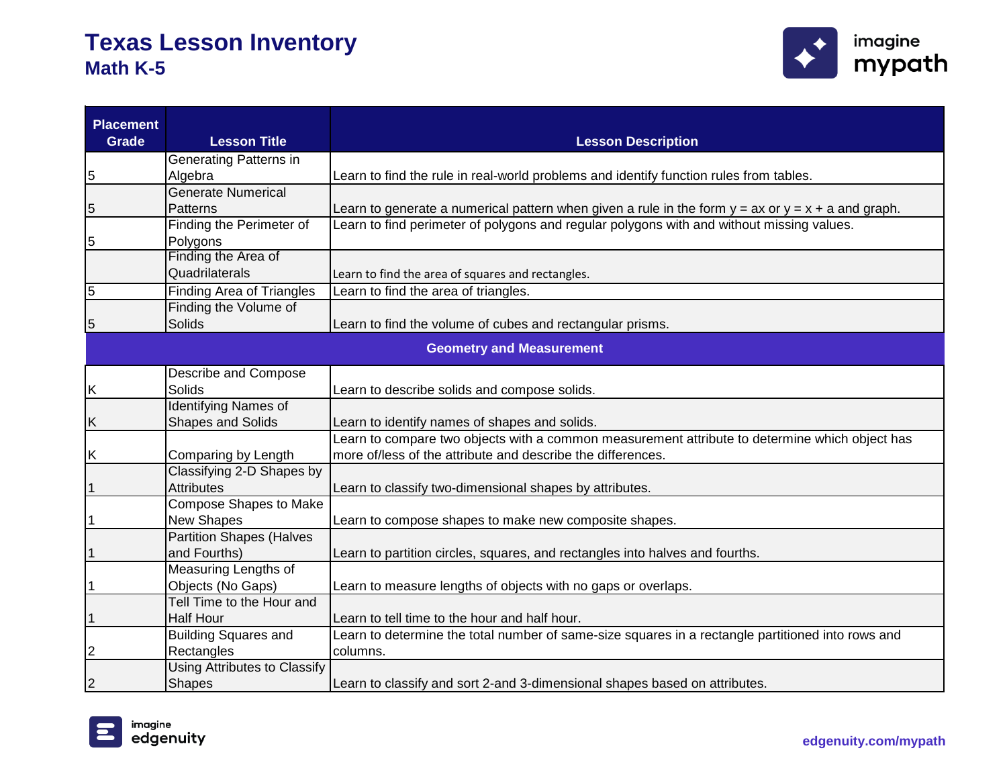

| <b>Placement</b><br><b>Grade</b> | <b>Lesson Title</b>                 | <b>Lesson Description</b>                                                                              |
|----------------------------------|-------------------------------------|--------------------------------------------------------------------------------------------------------|
|                                  | Generating Patterns in              |                                                                                                        |
| 5                                | Algebra                             | Learn to find the rule in real-world problems and identify function rules from tables.                 |
|                                  | <b>Generate Numerical</b>           |                                                                                                        |
| 5                                | <b>Patterns</b>                     | Learn to generate a numerical pattern when given a rule in the form $y = ax$ or $y = x + a$ and graph. |
|                                  | Finding the Perimeter of            | Learn to find perimeter of polygons and regular polygons with and without missing values.              |
| 5                                | Polygons                            |                                                                                                        |
|                                  | Finding the Area of                 |                                                                                                        |
|                                  | Quadrilaterals                      | Learn to find the area of squares and rectangles.                                                      |
| 5                                | <b>Finding Area of Triangles</b>    | Learn to find the area of triangles.                                                                   |
|                                  | Finding the Volume of               |                                                                                                        |
| 5                                | Solids                              | Learn to find the volume of cubes and rectangular prisms.                                              |
|                                  |                                     | <b>Geometry and Measurement</b>                                                                        |
|                                  | Describe and Compose                |                                                                                                        |
| Κ                                | Solids                              | Learn to describe solids and compose solids.                                                           |
|                                  | <b>Identifying Names of</b>         |                                                                                                        |
| Κ                                | <b>Shapes and Solids</b>            | Learn to identify names of shapes and solids.                                                          |
|                                  |                                     | Learn to compare two objects with a common measurement attribute to determine which object has         |
| Κ                                | Comparing by Length                 | more of/less of the attribute and describe the differences.                                            |
|                                  | Classifying 2-D Shapes by           |                                                                                                        |
| 1                                | <b>Attributes</b>                   | Learn to classify two-dimensional shapes by attributes.                                                |
|                                  | <b>Compose Shapes to Make</b>       |                                                                                                        |
|                                  | New Shapes                          | Learn to compose shapes to make new composite shapes.                                                  |
|                                  | <b>Partition Shapes (Halves</b>     |                                                                                                        |
| 1                                | and Fourths)                        | Learn to partition circles, squares, and rectangles into halves and fourths.                           |
|                                  | Measuring Lengths of                |                                                                                                        |
| 1                                | Objects (No Gaps)                   | Learn to measure lengths of objects with no gaps or overlaps.                                          |
|                                  | Tell Time to the Hour and           |                                                                                                        |
|                                  | <b>Half Hour</b>                    | Learn to tell time to the hour and half hour.                                                          |
|                                  | <b>Building Squares and</b>         | Learn to determine the total number of same-size squares in a rectangle partitioned into rows and      |
| 2                                | Rectangles                          | columns.                                                                                               |
|                                  | <b>Using Attributes to Classify</b> |                                                                                                        |
| 2                                | <b>Shapes</b>                       | Learn to classify and sort 2-and 3-dimensional shapes based on attributes.                             |

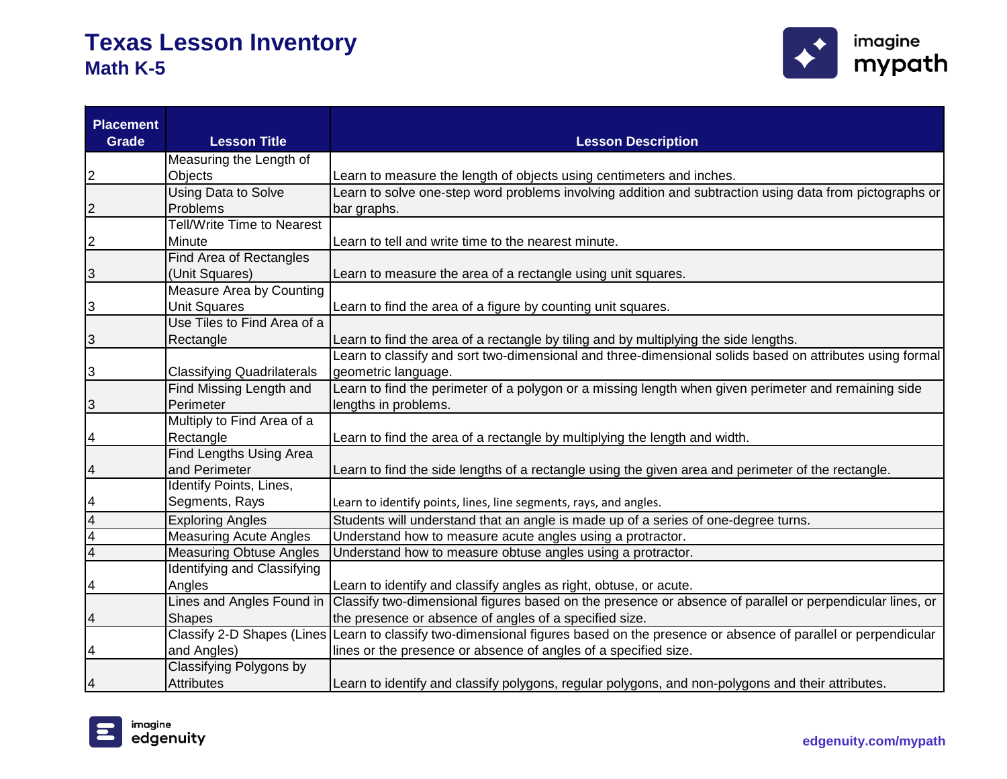

| <b>Placement</b><br><b>Grade</b> | <b>Lesson Title</b>               | <b>Lesson Description</b>                                                                                                          |
|----------------------------------|-----------------------------------|------------------------------------------------------------------------------------------------------------------------------------|
|                                  | Measuring the Length of           |                                                                                                                                    |
| 2                                | Objects                           | Learn to measure the length of objects using centimeters and inches.                                                               |
|                                  | <b>Using Data to Solve</b>        | Learn to solve one-step word problems involving addition and subtraction using data from pictographs or                            |
| 2                                | Problems                          | bar graphs.                                                                                                                        |
|                                  | <b>Tell/Write Time to Nearest</b> |                                                                                                                                    |
| $\boldsymbol{2}$                 | Minute                            | Learn to tell and write time to the nearest minute.                                                                                |
|                                  | Find Area of Rectangles           |                                                                                                                                    |
| 3                                | (Unit Squares)                    | Learn to measure the area of a rectangle using unit squares.                                                                       |
|                                  | Measure Area by Counting          |                                                                                                                                    |
| 3                                | <b>Unit Squares</b>               | Learn to find the area of a figure by counting unit squares.                                                                       |
|                                  | Use Tiles to Find Area of a       |                                                                                                                                    |
| 3                                | Rectangle                         | Learn to find the area of a rectangle by tiling and by multiplying the side lengths.                                               |
|                                  |                                   | Learn to classify and sort two-dimensional and three-dimensional solids based on attributes using formal                           |
| 3                                | <b>Classifying Quadrilaterals</b> | geometric language.                                                                                                                |
|                                  | Find Missing Length and           | Learn to find the perimeter of a polygon or a missing length when given perimeter and remaining side                               |
| 3                                | Perimeter                         | lengths in problems.                                                                                                               |
|                                  | Multiply to Find Area of a        |                                                                                                                                    |
| 4                                | Rectangle                         | Learn to find the area of a rectangle by multiplying the length and width.                                                         |
|                                  | Find Lengths Using Area           |                                                                                                                                    |
| 4                                | and Perimeter                     | Learn to find the side lengths of a rectangle using the given area and perimeter of the rectangle.                                 |
|                                  | Identify Points, Lines,           |                                                                                                                                    |
| 4                                | Segments, Rays                    | Learn to identify points, lines, line segments, rays, and angles.                                                                  |
| 4                                | <b>Exploring Angles</b>           | Students will understand that an angle is made up of a series of one-degree turns.                                                 |
| 4                                | <b>Measuring Acute Angles</b>     | Understand how to measure acute angles using a protractor.                                                                         |
| 4                                | <b>Measuring Obtuse Angles</b>    | Understand how to measure obtuse angles using a protractor.                                                                        |
|                                  | Identifying and Classifying       |                                                                                                                                    |
| 4                                | Angles                            | Learn to identify and classify angles as right, obtuse, or acute.                                                                  |
|                                  | Lines and Angles Found in         | Classify two-dimensional figures based on the presence or absence of parallel or perpendicular lines, or                           |
| 4                                | <b>Shapes</b>                     | the presence or absence of angles of a specified size.                                                                             |
|                                  |                                   | Classify 2-D Shapes (Lines Learn to classify two-dimensional figures based on the presence or absence of parallel or perpendicular |
| 4                                | and Angles)                       | lines or the presence or absence of angles of a specified size.                                                                    |
|                                  | Classifying Polygons by           |                                                                                                                                    |
| 4                                | <b>Attributes</b>                 | Learn to identify and classify polygons, regular polygons, and non-polygons and their attributes.                                  |

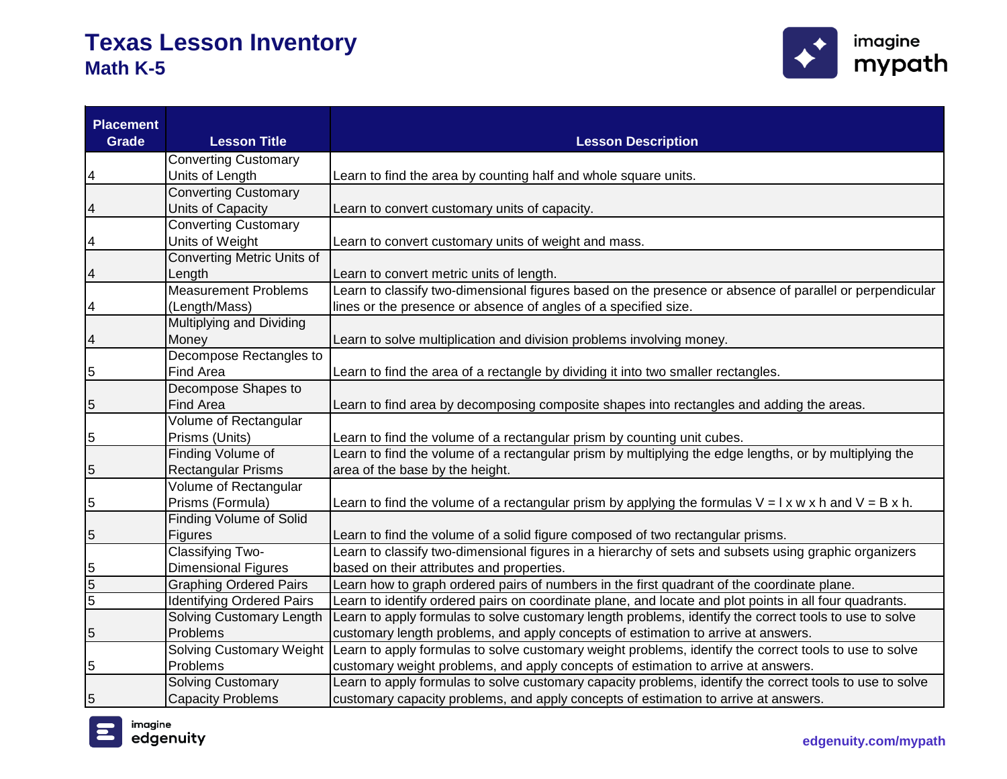

| <b>Placement</b><br><b>Grade</b> | <b>Lesson Title</b>              | <b>Lesson Description</b>                                                                                                        |
|----------------------------------|----------------------------------|----------------------------------------------------------------------------------------------------------------------------------|
|                                  | <b>Converting Customary</b>      |                                                                                                                                  |
| 4                                | Units of Length                  | Learn to find the area by counting half and whole square units.                                                                  |
|                                  | <b>Converting Customary</b>      |                                                                                                                                  |
| 4                                | Units of Capacity                | Learn to convert customary units of capacity.                                                                                    |
|                                  | <b>Converting Customary</b>      |                                                                                                                                  |
| 4                                | Units of Weight                  | Learn to convert customary units of weight and mass.                                                                             |
|                                  | Converting Metric Units of       |                                                                                                                                  |
| 4                                | Length                           | Learn to convert metric units of length.                                                                                         |
|                                  | <b>Measurement Problems</b>      | Learn to classify two-dimensional figures based on the presence or absence of parallel or perpendicular                          |
| 4                                | (Length/Mass)                    | lines or the presence or absence of angles of a specified size.                                                                  |
|                                  | <b>Multiplying and Dividing</b>  |                                                                                                                                  |
| 4                                | Money                            | Learn to solve multiplication and division problems involving money.                                                             |
|                                  | Decompose Rectangles to          |                                                                                                                                  |
| 5                                | Find Area                        | Learn to find the area of a rectangle by dividing it into two smaller rectangles.                                                |
|                                  | Decompose Shapes to              |                                                                                                                                  |
| 5                                | <b>Find Area</b>                 | Learn to find area by decomposing composite shapes into rectangles and adding the areas.                                         |
|                                  | Volume of Rectangular            |                                                                                                                                  |
| 5                                | Prisms (Units)                   | Learn to find the volume of a rectangular prism by counting unit cubes.                                                          |
|                                  | Finding Volume of                | Learn to find the volume of a rectangular prism by multiplying the edge lengths, or by multiplying the                           |
| 5                                | <b>Rectangular Prisms</b>        | area of the base by the height.                                                                                                  |
|                                  | Volume of Rectangular            |                                                                                                                                  |
| 5                                | Prisms (Formula)                 | Learn to find the volume of a rectangular prism by applying the formulas $V = I \times w \times h$ and $V = B \times h$ .        |
|                                  | <b>Finding Volume of Solid</b>   |                                                                                                                                  |
| 5                                | <b>Figures</b>                   | Learn to find the volume of a solid figure composed of two rectangular prisms.                                                   |
|                                  | <b>Classifying Two-</b>          | Learn to classify two-dimensional figures in a hierarchy of sets and subsets using graphic organizers                            |
| 5                                | <b>Dimensional Figures</b>       | based on their attributes and properties.                                                                                        |
| $\overline{5}$                   | <b>Graphing Ordered Pairs</b>    | Learn how to graph ordered pairs of numbers in the first quadrant of the coordinate plane.                                       |
| 5                                | <b>Identifying Ordered Pairs</b> | Learn to identify ordered pairs on coordinate plane, and locate and plot points in all four quadrants.                           |
|                                  | Solving Customary Length         | Learn to apply formulas to solve customary length problems, identify the correct tools to use to solve                           |
| 5                                | Problems                         | customary length problems, and apply concepts of estimation to arrive at answers.                                                |
|                                  |                                  | Solving Customary Weight  Learn to apply formulas to solve customary weight problems, identify the correct tools to use to solve |
| 5                                | Problems                         | customary weight problems, and apply concepts of estimation to arrive at answers.                                                |
|                                  | <b>Solving Customary</b>         | Learn to apply formulas to solve customary capacity problems, identify the correct tools to use to solve                         |
| 5                                | <b>Capacity Problems</b>         | customary capacity problems, and apply concepts of estimation to arrive at answers.                                              |